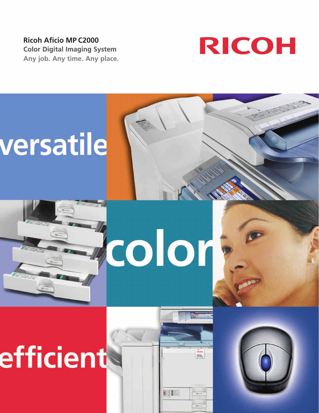**Ricoh Aficio MP C2000 Color Digital Imaging System Any job. Any time. Any place.**





# efficient